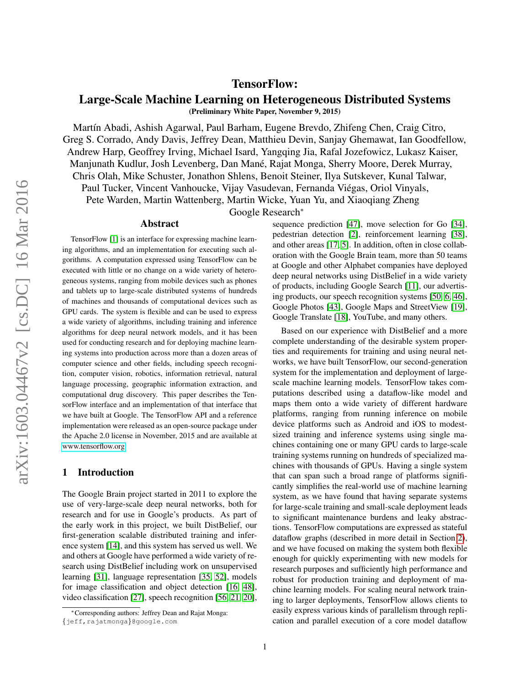## TensorFlow:

# Large-Scale Machine Learning on Heterogeneous Distributed Systems

(Preliminary White Paper, November 9, 2015)

Martín Abadi, Ashish Agarwal, Paul Barham, Eugene Brevdo, Zhifeng Chen, Craig Citro, Greg S. Corrado, Andy Davis, Jeffrey Dean, Matthieu Devin, Sanjay Ghemawat, Ian Goodfellow, Andrew Harp, Geoffrey Irving, Michael Isard, Yangqing Jia, Rafal Jozefowicz, Lukasz Kaiser, Manjunath Kudlur, Josh Levenberg, Dan Mane, Rajat Monga, Sherry Moore, Derek Murray, ´ Chris Olah, Mike Schuster, Jonathon Shlens, Benoit Steiner, Ilya Sutskever, Kunal Talwar, Paul Tucker, Vincent Vanhoucke, Vijay Vasudevan, Fernanda Viegas, Oriol Vinyals, ´

Pete Warden, Martin Wattenberg, Martin Wicke, Yuan Yu, and Xiaoqiang Zheng

Google Research<sup>∗</sup>

#### Abstract

TensorFlow [\[1\]](#page-16-0) is an interface for expressing machine learning algorithms, and an implementation for executing such algorithms. A computation expressed using TensorFlow can be executed with little or no change on a wide variety of heterogeneous systems, ranging from mobile devices such as phones and tablets up to large-scale distributed systems of hundreds of machines and thousands of computational devices such as GPU cards. The system is flexible and can be used to express a wide variety of algorithms, including training and inference algorithms for deep neural network models, and it has been used for conducting research and for deploying machine learning systems into production across more than a dozen areas of computer science and other fields, including speech recognition, computer vision, robotics, information retrieval, natural language processing, geographic information extraction, and computational drug discovery. This paper describes the TensorFlow interface and an implementation of that interface that we have built at Google. The TensorFlow API and a reference implementation were released as an open-source package under the Apache 2.0 license in November, 2015 and are available at [www.tensorflow.org.](www.tensorflow.org)

### <span id="page-0-0"></span>1 Introduction

The Google Brain project started in 2011 to explore the use of very-large-scale deep neural networks, both for research and for use in Google's products. As part of the early work in this project, we built DistBelief, our first-generation scalable distributed training and inference system [\[14\]](#page-16-1), and this system has served us well. We and others at Google have performed a wide variety of research using DistBelief including work on unsupervised learning [\[31\]](#page-17-0), language representation [\[35,](#page-17-1) [52\]](#page-18-0), models for image classification and object detection [\[16,](#page-17-2) [48\]](#page-18-1), video classification [\[27\]](#page-17-3), speech recognition [\[56,](#page-18-2) [21,](#page-17-4) [20\]](#page-17-5), sequence prediction [\[47\]](#page-18-3), move selection for Go [\[34\]](#page-17-6), pedestrian detection [\[2\]](#page-16-2), reinforcement learning [\[38\]](#page-18-4), and other areas [\[17,](#page-17-7) [5\]](#page-16-3). In addition, often in close collaboration with the Google Brain team, more than 50 teams at Google and other Alphabet companies have deployed deep neural networks using DistBelief in a wide variety of products, including Google Search [\[11\]](#page-16-4), our advertising products, our speech recognition systems [\[50,](#page-18-5) [6,](#page-16-5) [46\]](#page-18-6), Google Photos [\[43\]](#page-18-7), Google Maps and StreetView [\[19\]](#page-17-8), Google Translate [\[18\]](#page-17-9), YouTube, and many others.

Based on our experience with DistBelief and a more complete understanding of the desirable system properties and requirements for training and using neural networks, we have built TensorFlow, our second-generation system for the implementation and deployment of largescale machine learning models. TensorFlow takes computations described using a dataflow-like model and maps them onto a wide variety of different hardware platforms, ranging from running inference on mobile device platforms such as Android and iOS to modestsized training and inference systems using single machines containing one or many GPU cards to large-scale training systems running on hundreds of specialized machines with thousands of GPUs. Having a single system that can span such a broad range of platforms significantly simplifies the real-world use of machine learning system, as we have found that having separate systems for large-scale training and small-scale deployment leads to significant maintenance burdens and leaky abstractions. TensorFlow computations are expressed as stateful dataflow graphs (described in more detail in Section [2\)](#page-1-0), and we have focused on making the system both flexible enough for quickly experimenting with new models for research purposes and sufficiently high performance and robust for production training and deployment of machine learning models. For scaling neural network training to larger deployments, TensorFlow allows clients to easily express various kinds of parallelism through replication and parallel execution of a core model dataflow

<sup>∗</sup>Corresponding authors: Jeffrey Dean and Rajat Monga: {jeff,rajatmonga}@google.com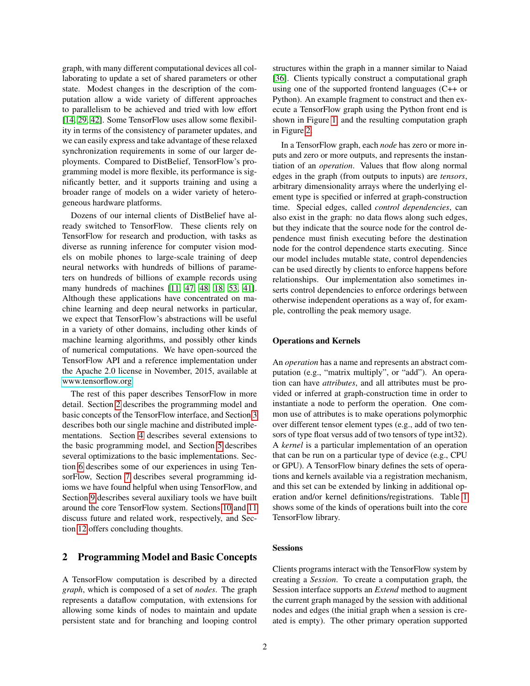graph, with many different computational devices all collaborating to update a set of shared parameters or other state. Modest changes in the description of the computation allow a wide variety of different approaches to parallelism to be achieved and tried with low effort [\[14,](#page-16-1) [29,](#page-17-10) [42\]](#page-18-8). Some TensorFlow uses allow some flexibility in terms of the consistency of parameter updates, and we can easily express and take advantage of these relaxed synchronization requirements in some of our larger deployments. Compared to DistBelief, TensorFlow's programming model is more flexible, its performance is significantly better, and it supports training and using a broader range of models on a wider variety of heterogeneous hardware platforms.

Dozens of our internal clients of DistBelief have already switched to TensorFlow. These clients rely on TensorFlow for research and production, with tasks as diverse as running inference for computer vision models on mobile phones to large-scale training of deep neural networks with hundreds of billions of parameters on hundreds of billions of example records using many hundreds of machines [\[11,](#page-16-4) [47,](#page-18-3) [48,](#page-18-1) [18,](#page-17-9) [53,](#page-18-9) [41\]](#page-18-10). Although these applications have concentrated on machine learning and deep neural networks in particular, we expect that TensorFlow's abstractions will be useful in a variety of other domains, including other kinds of machine learning algorithms, and possibly other kinds of numerical computations. We have open-sourced the TensorFlow API and a reference implementation under the Apache 2.0 license in November, 2015, available at [www.tensorflow.org.](www.tensorflow.org)

The rest of this paper describes TensorFlow in more detail. Section [2](#page-1-0) describes the programming model and basic concepts of the TensorFlow interface, and Section [3](#page-3-0) describes both our single machine and distributed implementations. Section [4](#page-5-0) describes several extensions to the basic programming model, and Section [5](#page-8-0) describes several optimizations to the basic implementations. Section [6](#page-9-0) describes some of our experiences in using TensorFlow, Section [7](#page-10-0) describes several programming idioms we have found helpful when using TensorFlow, and Section [9](#page-11-0) describes several auxiliary tools we have built around the core TensorFlow system. Sections [10](#page-13-0) and [11](#page-13-1) discuss future and related work, respectively, and Section [12](#page-15-0) offers concluding thoughts.

### <span id="page-1-0"></span>2 Programming Model and Basic Concepts

A TensorFlow computation is described by a directed *graph*, which is composed of a set of *nodes*. The graph represents a dataflow computation, with extensions for allowing some kinds of nodes to maintain and update persistent state and for branching and looping control structures within the graph in a manner similar to Naiad [\[36\]](#page-17-11). Clients typically construct a computational graph using one of the supported frontend languages (C++ or Python). An example fragment to construct and then execute a TensorFlow graph using the Python front end is shown in Figure [1,](#page-0-0) and the resulting computation graph in Figure [2.](#page-2-0)

In a TensorFlow graph, each *node* has zero or more inputs and zero or more outputs, and represents the instantiation of an *operation*. Values that flow along normal edges in the graph (from outputs to inputs) are *tensors*, arbitrary dimensionality arrays where the underlying element type is specified or inferred at graph-construction time. Special edges, called *control dependencies*, can also exist in the graph: no data flows along such edges, but they indicate that the source node for the control dependence must finish executing before the destination node for the control dependence starts executing. Since our model includes mutable state, control dependencies can be used directly by clients to enforce happens before relationships. Our implementation also sometimes inserts control dependencies to enforce orderings between otherwise independent operations as a way of, for example, controlling the peak memory usage.

#### Operations and Kernels

An *operation* has a name and represents an abstract computation (e.g., "matrix multiply", or "add"). An operation can have *attributes*, and all attributes must be provided or inferred at graph-construction time in order to instantiate a node to perform the operation. One common use of attributes is to make operations polymorphic over different tensor element types (e.g., add of two tensors of type float versus add of two tensors of type int32). A *kernel* is a particular implementation of an operation that can be run on a particular type of device (e.g., CPU or GPU). A TensorFlow binary defines the sets of operations and kernels available via a registration mechanism, and this set can be extended by linking in additional operation and/or kernel definitions/registrations. Table [1](#page-2-1) shows some of the kinds of operations built into the core TensorFlow library.

#### **Sessions**

Clients programs interact with the TensorFlow system by creating a *Session*. To create a computation graph, the Session interface supports an *Extend* method to augment the current graph managed by the session with additional nodes and edges (the initial graph when a session is created is empty). The other primary operation supported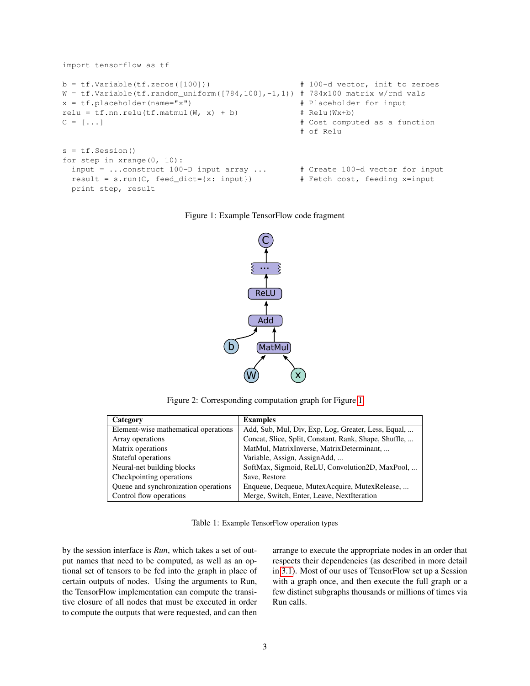```
import tensorflow as tf
b = tf.Variable(tf.zeros([100])) # 100-d vector, init to zeroes
W = tf.Variable(tf.randomថ16cm([784,100],-1,1)) # 784x100 matrix w/rnd valsx = tf.placeholder(name="x") # Placeholder for input
relu = tf.nn.relu(tf.matmul(W, x) + b) # Relu(Wx+b)
C = [\ldots] # Cost computed as a function
                                          # of Relu
s = tf.Session()for step in xrange(0, 10):
 input = ...construct 100-D input array ... # Create 100-d vector for input
 result = s.run(C, feed_dict={x: input}) # Fetch cost, feeding x=input
 print step, result
```
Figure 1: Example TensorFlow code fragment



<span id="page-2-0"></span>Figure 2: Corresponding computation graph for Figure [1](#page-0-0)

| Category                             | <b>Examples</b>                                       |
|--------------------------------------|-------------------------------------------------------|
| Element-wise mathematical operations | Add, Sub, Mul, Div, Exp, Log, Greater, Less, Equal,   |
| Array operations                     | Concat, Slice, Split, Constant, Rank, Shape, Shuffle, |
| Matrix operations                    | MatMul, MatrixInverse, MatrixDeterminant,             |
| Stateful operations                  | Variable, Assign, AssignAdd,                          |
| Neural-net building blocks           | SoftMax, Sigmoid, ReLU, Convolution2D, MaxPool,       |
| Checkpointing operations             | Save, Restore                                         |
| Queue and synchronization operations | Enqueue, Dequeue, MutexAcquire, MutexRelease,         |
| Control flow operations              | Merge, Switch, Enter, Leave, NextIteration            |

<span id="page-2-1"></span>Table 1: Example TensorFlow operation types

by the session interface is *Run*, which takes a set of output names that need to be computed, as well as an optional set of tensors to be fed into the graph in place of certain outputs of nodes. Using the arguments to Run, the TensorFlow implementation can compute the transitive closure of all nodes that must be executed in order to compute the outputs that were requested, and can then

arrange to execute the appropriate nodes in an order that respects their dependencies (as described in more detail in [3.1\)](#page-3-1). Most of our uses of TensorFlow set up a Session with a graph once, and then execute the full graph or a few distinct subgraphs thousands or millions of times via Run calls.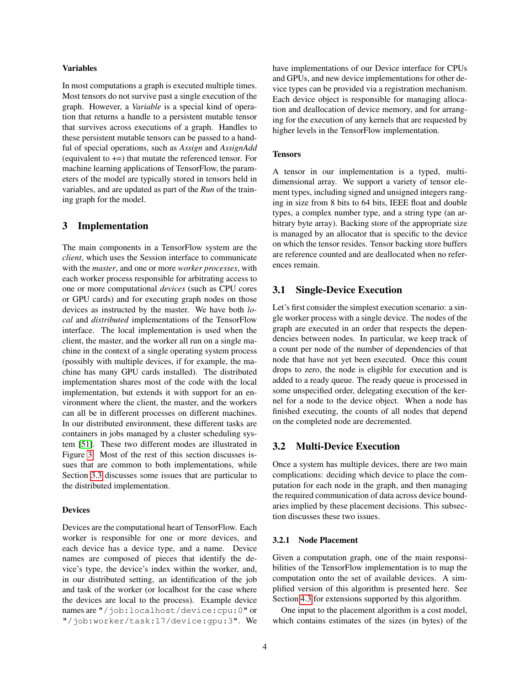#### Variables

In most computations a graph is executed multiple times. Most tensors do not survive past a single execution of the graph. However, a *Variable* is a special kind of operation that returns a handle to a persistent mutable tensor that survives across executions of a graph. Handles to these persistent mutable tensors can be passed to a handful of special operations, such as *Assign* and *AssignAdd* (equivalent to +=) that mutate the referenced tensor. For machine learning applications of TensorFlow, the parameters of the model are typically stored in tensors held in variables, and are updated as part of the *Run* of the training graph for the model.

### <span id="page-3-0"></span>3 Implementation

The main components in a TensorFlow system are the *client*, which uses the Session interface to communicate with the *master*, and one or more *worker processes*, with each worker process responsible for arbitrating access to one or more computational *devices* (such as CPU cores or GPU cards) and for executing graph nodes on those devices as instructed by the master. We have both *local* and *distributed* implementations of the TensorFlow interface. The local implementation is used when the client, the master, and the worker all run on a single machine in the context of a single operating system process (possibly with multiple devices, if for example, the machine has many GPU cards installed). The distributed implementation shares most of the code with the local implementation, but extends it with support for an environment where the client, the master, and the workers can all be in different processes on different machines. In our distributed environment, these different tasks are containers in jobs managed by a cluster scheduling system [\[51\]](#page-18-11). These two different modes are illustrated in Figure [3.](#page-4-0) Most of the rest of this section discusses issues that are common to both implementations, while Section [3.3](#page-5-1) discusses some issues that are particular to the distributed implementation.

#### **Devices**

Devices are the computational heart of TensorFlow. Each worker is responsible for one or more devices, and each device has a device type, and a name. Device names are composed of pieces that identify the device's type, the device's index within the worker, and, in our distributed setting, an identification of the job and task of the worker (or localhost for the case where the devices are local to the process). Example device names are "/job:localhost/device:cpu:0" or "/job:worker/task:17/device:gpu:3". We have implementations of our Device interface for CPUs and GPUs, and new device implementations for other device types can be provided via a registration mechanism. Each device object is responsible for managing allocation and deallocation of device memory, and for arranging for the execution of any kernels that are requested by higher levels in the TensorFlow implementation.

#### **Tensors**

A tensor in our implementation is a typed, multidimensional array. We support a variety of tensor element types, including signed and unsigned integers ranging in size from 8 bits to 64 bits, IEEE float and double types, a complex number type, and a string type (an arbitrary byte array). Backing store of the appropriate size is managed by an allocator that is specific to the device on which the tensor resides. Tensor backing store buffers are reference counted and are deallocated when no references remain.

#### <span id="page-3-1"></span>3.1 Single-Device Execution

Let's first consider the simplest execution scenario: a single worker process with a single device. The nodes of the graph are executed in an order that respects the dependencies between nodes. In particular, we keep track of a count per node of the number of dependencies of that node that have not yet been executed. Once this count drops to zero, the node is eligible for execution and is added to a ready queue. The ready queue is processed in some unspecified order, delegating execution of the kernel for a node to the device object. When a node has finished executing, the counts of all nodes that depend on the completed node are decremented.

#### 3.2 Multi-Device Execution

Once a system has multiple devices, there are two main complications: deciding which device to place the computation for each node in the graph, and then managing the required communication of data across device boundaries implied by these placement decisions. This subsection discusses these two issues.

#### <span id="page-3-2"></span>3.2.1 Node Placement

Given a computation graph, one of the main responsibilities of the TensorFlow implementation is to map the computation onto the set of available devices. A simplified version of this algorithm is presented here. See Section [4.3](#page-6-0) for extensions supported by this algorithm.

One input to the placement algorithm is a cost model, which contains estimates of the sizes (in bytes) of the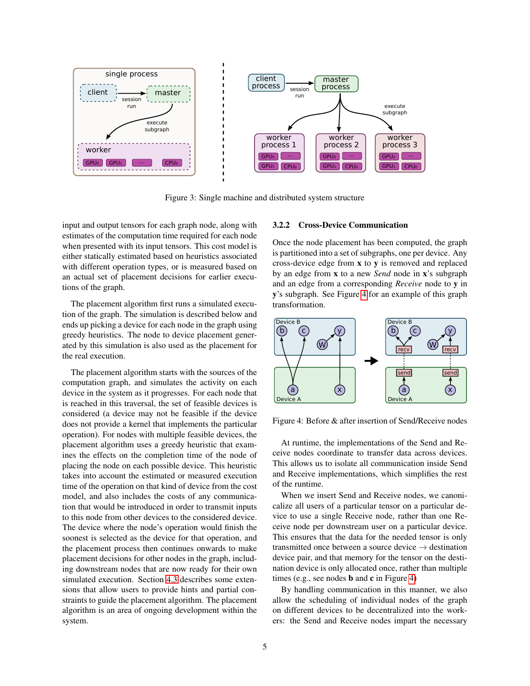

<span id="page-4-0"></span>Figure 3: Single machine and distributed system structure

input and output tensors for each graph node, along with estimates of the computation time required for each node when presented with its input tensors. This cost model is either statically estimated based on heuristics associated with different operation types, or is measured based on an actual set of placement decisions for earlier executions of the graph.

The placement algorithm first runs a simulated execution of the graph. The simulation is described below and ends up picking a device for each node in the graph using greedy heuristics. The node to device placement generated by this simulation is also used as the placement for the real execution.

The placement algorithm starts with the sources of the computation graph, and simulates the activity on each device in the system as it progresses. For each node that is reached in this traversal, the set of feasible devices is considered (a device may not be feasible if the device does not provide a kernel that implements the particular operation). For nodes with multiple feasible devices, the placement algorithm uses a greedy heuristic that examines the effects on the completion time of the node of placing the node on each possible device. This heuristic takes into account the estimated or measured execution time of the operation on that kind of device from the cost model, and also includes the costs of any communication that would be introduced in order to transmit inputs to this node from other devices to the considered device. The device where the node's operation would finish the soonest is selected as the device for that operation, and the placement process then continues onwards to make placement decisions for other nodes in the graph, including downstream nodes that are now ready for their own simulated execution. Section [4.3](#page-6-0) describes some extensions that allow users to provide hints and partial constraints to guide the placement algorithm. The placement algorithm is an area of ongoing development within the system.

#### 3.2.2 Cross-Device Communication

Once the node placement has been computed, the graph is partitioned into a set of subgraphs, one per device. Any cross-device edge from x to y is removed and replaced by an edge from x to a new *Send* node in x's subgraph and an edge from a corresponding *Receive* node to y in y's subgraph. See Figure [4](#page-4-1) for an example of this graph transformation.



<span id="page-4-1"></span>Figure 4: Before & after insertion of Send/Receive nodes

At runtime, the implementations of the Send and Receive nodes coordinate to transfer data across devices. This allows us to isolate all communication inside Send and Receive implementations, which simplifies the rest of the runtime.

When we insert Send and Receive nodes, we canonicalize all users of a particular tensor on a particular device to use a single Receive node, rather than one Receive node per downstream user on a particular device. This ensures that the data for the needed tensor is only transmitted once between a source device  $\rightarrow$  destination device pair, and that memory for the tensor on the destination device is only allocated once, rather than multiple times (e.g., see nodes b and c in Figure [4\)](#page-4-1)

By handling communication in this manner, we also allow the scheduling of individual nodes of the graph on different devices to be decentralized into the workers: the Send and Receive nodes impart the necessary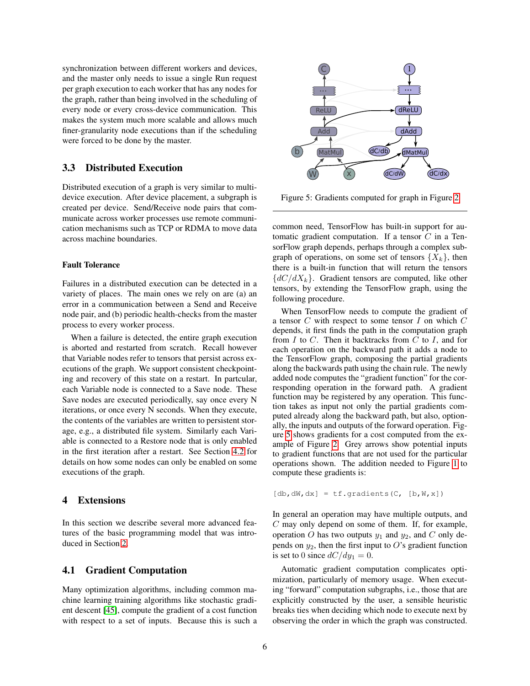synchronization between different workers and devices, and the master only needs to issue a single Run request per graph execution to each worker that has any nodes for the graph, rather than being involved in the scheduling of every node or every cross-device communication. This makes the system much more scalable and allows much finer-granularity node executions than if the scheduling were forced to be done by the master.

## <span id="page-5-1"></span>3.3 Distributed Execution

Distributed execution of a graph is very similar to multidevice execution. After device placement, a subgraph is created per device. Send/Receive node pairs that communicate across worker processes use remote communication mechanisms such as TCP or RDMA to move data across machine boundaries.

#### Fault Tolerance

Failures in a distributed execution can be detected in a variety of places. The main ones we rely on are (a) an error in a communication between a Send and Receive node pair, and (b) periodic health-checks from the master process to every worker process.

When a failure is detected, the entire graph execution is aborted and restarted from scratch. Recall however that Variable nodes refer to tensors that persist across executions of the graph. We support consistent checkpointing and recovery of this state on a restart. In partcular, each Variable node is connected to a Save node. These Save nodes are executed periodically, say once every N iterations, or once every N seconds. When they execute, the contents of the variables are written to persistent storage, e.g., a distributed file system. Similarly each Variable is connected to a Restore node that is only enabled in the first iteration after a restart. See Section [4.2](#page-6-1) for details on how some nodes can only be enabled on some executions of the graph.

### <span id="page-5-0"></span>4 Extensions

In this section we describe several more advanced features of the basic programming model that was introduced in Section [2.](#page-1-0)

#### 4.1 Gradient Computation

Many optimization algorithms, including common machine learning training algorithms like stochastic gradient descent [\[45\]](#page-18-12), compute the gradient of a cost function with respect to a set of inputs. Because this is such a



<span id="page-5-2"></span>Figure 5: Gradients computed for graph in Figure [2](#page-2-0)

common need, TensorFlow has built-in support for automatic gradient computation. If a tensor  $C$  in a TensorFlow graph depends, perhaps through a complex subgraph of operations, on some set of tensors  $\{X_k\}$ , then there is a built-in function that will return the tensors  ${dC/dX_k}$ . Gradient tensors are computed, like other tensors, by extending the TensorFlow graph, using the following procedure.

When TensorFlow needs to compute the gradient of a tensor  $C$  with respect to some tensor  $I$  on which  $C$ depends, it first finds the path in the computation graph from  $I$  to  $C$ . Then it backtracks from  $C$  to  $I$ , and for each operation on the backward path it adds a node to the TensorFlow graph, composing the partial gradients along the backwards path using the chain rule. The newly added node computes the "gradient function" for the corresponding operation in the forward path. A gradient function may be registered by any operation. This function takes as input not only the partial gradients computed already along the backward path, but also, optionally, the inputs and outputs of the forward operation. Figure [5](#page-5-2) shows gradients for a cost computed from the example of Figure [2.](#page-2-0) Grey arrows show potential inputs to gradient functions that are not used for the particular operations shown. The addition needed to Figure [1](#page-0-0) to compute these gradients is:

```
[db, dW, dx] = tf. gradients(C, [b, W, x])
```
In general an operation may have multiple outputs, and C may only depend on some of them. If, for example, operation O has two outputs  $y_1$  and  $y_2$ , and C only depends on  $y_2$ , then the first input to O's gradient function is set to 0 since  $dC/dy_1 = 0$ .

Automatic gradient computation complicates optimization, particularly of memory usage. When executing "forward" computation subgraphs, i.e., those that are explicitly constructed by the user, a sensible heuristic breaks ties when deciding which node to execute next by observing the order in which the graph was constructed.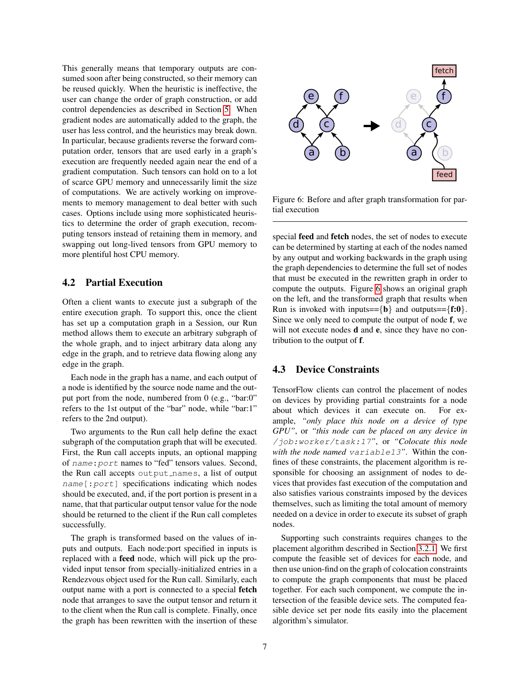This generally means that temporary outputs are consumed soon after being constructed, so their memory can be reused quickly. When the heuristic is ineffective, the user can change the order of graph construction, or add control dependencies as described in Section [5.](#page-8-0) When gradient nodes are automatically added to the graph, the user has less control, and the heuristics may break down. In particular, because gradients reverse the forward computation order, tensors that are used early in a graph's execution are frequently needed again near the end of a gradient computation. Such tensors can hold on to a lot of scarce GPU memory and unnecessarily limit the size of computations. We are actively working on improvements to memory management to deal better with such cases. Options include using more sophisticated heuristics to determine the order of graph execution, recomputing tensors instead of retaining them in memory, and swapping out long-lived tensors from GPU memory to more plentiful host CPU memory. putation order, tensors that are used early in a graph's and the constrained or the computation. Such tensors are hold on to a lot of scarce GPU memory and unnecessarily jumit the size<br>
of scarce GPU memory and unnecessar

### <span id="page-6-1"></span>4.2 Partial Execution

Often a client wants to execute just a subgraph of the entire execution graph. To support this, once the client has set up a computation graph in a Session, our Run method allows them to execute an arbitrary subgraph of the whole graph, and to inject arbitrary data along any edge in the graph, and to retrieve data flowing along any edge in the graph.

Each node in the graph has a name, and each output of a node is identified by the source node name and the output port from the node, numbered from 0 (e.g., "bar:0" refers to the 1st output of the "bar" node, while "bar:1" refers to the 2nd output).

Two arguments to the Run call help define the exact subgraph of the computation graph that will be executed. First, the Run call accepts inputs, an optional mapping of name:port names to "fed" tensors values. Second, the Run call accepts output names, a list of output name[:port] specifications indicating which nodes should be executed, and, if the port portion is present in a name, that that particular output tensor value for the node should be returned to the client if the Run call completes successfully.

The graph is transformed based on the values of inputs and outputs. Each node:port specified in inputs is replaced with a feed node, which will pick up the provided input tensor from specially-initialized entries in a Rendezvous object used for the Run call. Similarly, each output name with a port is connected to a special fetch node that arranges to save the output tensor and return it to the client when the Run call is complete. Finally, once



<span id="page-6-2"></span>Figure 6: Before and after graph transformation for partial execution

special feed and fetch nodes, the set of nodes to execute can be determined by starting at each of the nodes named by any output and working backwards in the graph using the graph dependencies to determine the full set of nodes that must be executed in the rewritten graph in order to compute the outputs. Figure [6](#page-6-2) shows an original graph on the left, and the transformed graph that results when Run is invoked with inputs== $\{b\}$  and outputs== $\{f:0\}$ . Since we only need to compute the output of node f, we will not execute nodes **d** and **e**, since they have no contribution to the output of f.

## <span id="page-6-0"></span>4.3 Device Constraints

TensorFlow clients can control the placement of nodes on devices by providing partial constraints for a node about which devices it can execute on. For example, *"only place this node on a device of type GPU"*, or *"this node can be placed on any device in* /job:worker/task:17*"*, or *"Colocate this node with the node named* variable13*"*. Within the confines of these constraints, the placement algorithm is responsible for choosing an assignment of nodes to devices that provides fast execution of the computation and also satisfies various constraints imposed by the devices themselves, such as limiting the total amount of memory needed on a device in order to execute its subset of graph nodes.

Supporting such constraints requires changes to the placement algorithm described in Section [3.2.1.](#page-3-2) We first compute the feasible set of devices for each node, and then use union-find on the graph of colocation constraints to compute the graph components that must be placed together. For each such component, we compute the intersection of the feasible device sets. The computed feasible device set per node fits easily into the placement algorithm's simulator.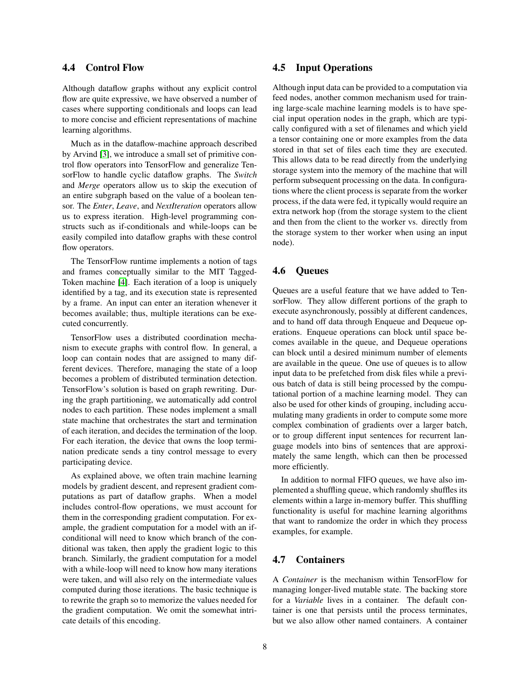### 4.4 Control Flow

Although dataflow graphs without any explicit control flow are quite expressive, we have observed a number of cases where supporting conditionals and loops can lead to more concise and efficient representations of machine learning algorithms.

Much as in the dataflow-machine approach described by Arvind [\[3\]](#page-16-6), we introduce a small set of primitive control flow operators into TensorFlow and generalize TensorFlow to handle cyclic dataflow graphs. The *Switch* and *Merge* operators allow us to skip the execution of an entire subgraph based on the value of a boolean tensor. The *Enter*, *Leave*, and *NextIteration* operators allow us to express iteration. High-level programming constructs such as if-conditionals and while-loops can be easily compiled into dataflow graphs with these control flow operators.

The TensorFlow runtime implements a notion of tags and frames conceptually similar to the MIT Tagged-Token machine [\[4\]](#page-16-7). Each iteration of a loop is uniquely identified by a tag, and its execution state is represented by a frame. An input can enter an iteration whenever it becomes available; thus, multiple iterations can be executed concurrently.

TensorFlow uses a distributed coordination mechanism to execute graphs with control flow. In general, a loop can contain nodes that are assigned to many different devices. Therefore, managing the state of a loop becomes a problem of distributed termination detection. TensorFlow's solution is based on graph rewriting. During the graph partitioning, we automatically add control nodes to each partition. These nodes implement a small state machine that orchestrates the start and termination of each iteration, and decides the termination of the loop. For each iteration, the device that owns the loop termination predicate sends a tiny control message to every participating device.

As explained above, we often train machine learning models by gradient descent, and represent gradient computations as part of dataflow graphs. When a model includes control-flow operations, we must account for them in the corresponding gradient computation. For example, the gradient computation for a model with an ifconditional will need to know which branch of the conditional was taken, then apply the gradient logic to this branch. Similarly, the gradient computation for a model with a while-loop will need to know how many iterations were taken, and will also rely on the intermediate values computed during those iterations. The basic technique is to rewrite the graph so to memorize the values needed for the gradient computation. We omit the somewhat intricate details of this encoding.

### 4.5 Input Operations

Although input data can be provided to a computation via feed nodes, another common mechanism used for training large-scale machine learning models is to have special input operation nodes in the graph, which are typically configured with a set of filenames and which yield a tensor containing one or more examples from the data stored in that set of files each time they are executed. This allows data to be read directly from the underlying storage system into the memory of the machine that will perform subsequent processing on the data. In configurations where the client process is separate from the worker process, if the data were fed, it typically would require an extra network hop (from the storage system to the client and then from the client to the worker vs. directly from the storage system to ther worker when using an input node).

#### 4.6 Queues

Queues are a useful feature that we have added to TensorFlow. They allow different portions of the graph to execute asynchronously, possibly at different candences, and to hand off data through Enqueue and Dequeue operations. Enqueue operations can block until space becomes available in the queue, and Dequeue operations can block until a desired minimum number of elements are available in the queue. One use of queues is to allow input data to be prefetched from disk files while a previous batch of data is still being processed by the computational portion of a machine learning model. They can also be used for other kinds of grouping, including accumulating many gradients in order to compute some more complex combination of gradients over a larger batch, or to group different input sentences for recurrent language models into bins of sentences that are approximately the same length, which can then be processed more efficiently.

In addition to normal FIFO queues, we have also implemented a shuffling queue, which randomly shuffles its elements within a large in-memory buffer. This shuffling functionality is useful for machine learning algorithms that want to randomize the order in which they process examples, for example.

#### 4.7 Containers

A *Container* is the mechanism within TensorFlow for managing longer-lived mutable state. The backing store for a *Variable* lives in a container. The default container is one that persists until the process terminates, but we also allow other named containers. A container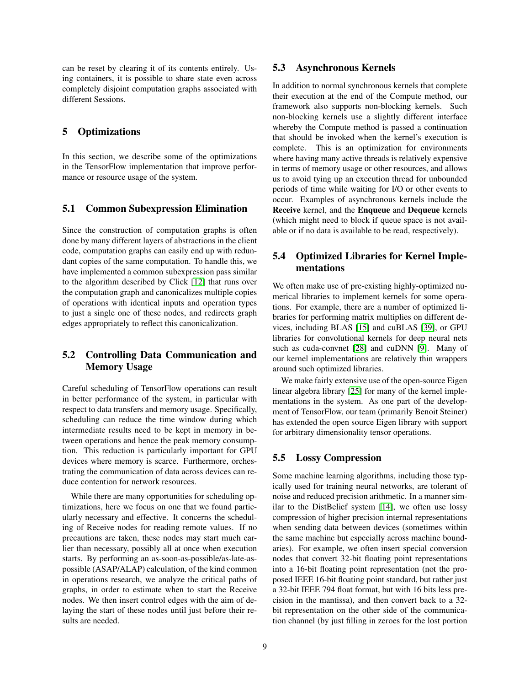can be reset by clearing it of its contents entirely. Using containers, it is possible to share state even across completely disjoint computation graphs associated with different Sessions.

### <span id="page-8-0"></span>5 Optimizations

In this section, we describe some of the optimizations in the TensorFlow implementation that improve performance or resource usage of the system.

#### 5.1 Common Subexpression Elimination

Since the construction of computation graphs is often done by many different layers of abstractions in the client code, computation graphs can easily end up with redundant copies of the same computation. To handle this, we have implemented a common subexpression pass similar to the algorithm described by Click [\[12\]](#page-16-8) that runs over the computation graph and canonicalizes multiple copies of operations with identical inputs and operation types to just a single one of these nodes, and redirects graph edges appropriately to reflect this canonicalization.

## 5.2 Controlling Data Communication and Memory Usage

Careful scheduling of TensorFlow operations can result in better performance of the system, in particular with respect to data transfers and memory usage. Specifically, scheduling can reduce the time window during which intermediate results need to be kept in memory in between operations and hence the peak memory consumption. This reduction is particularly important for GPU devices where memory is scarce. Furthermore, orchestrating the communication of data across devices can reduce contention for network resources.

While there are many opportunities for scheduling optimizations, here we focus on one that we found particularly necessary and effective. It concerns the scheduling of Receive nodes for reading remote values. If no precautions are taken, these nodes may start much earlier than necessary, possibly all at once when execution starts. By performing an as-soon-as-possible/as-late-aspossible (ASAP/ALAP) calculation, of the kind common in operations research, we analyze the critical paths of graphs, in order to estimate when to start the Receive nodes. We then insert control edges with the aim of delaying the start of these nodes until just before their results are needed.

#### 5.3 Asynchronous Kernels

In addition to normal synchronous kernels that complete their execution at the end of the Compute method, our framework also supports non-blocking kernels. Such non-blocking kernels use a slightly different interface whereby the Compute method is passed a continuation that should be invoked when the kernel's execution is complete. This is an optimization for environments where having many active threads is relatively expensive in terms of memory usage or other resources, and allows us to avoid tying up an execution thread for unbounded periods of time while waiting for I/O or other events to occur. Examples of asynchronous kernels include the Receive kernel, and the Enqueue and Dequeue kernels (which might need to block if queue space is not available or if no data is available to be read, respectively).

## 5.4 Optimized Libraries for Kernel Implementations

We often make use of pre-existing highly-optimized numerical libraries to implement kernels for some operations. For example, there are a number of optimized libraries for performing matrix multiplies on different devices, including BLAS [\[15\]](#page-17-12) and cuBLAS [\[39\]](#page-18-13), or GPU libraries for convolutional kernels for deep neural nets such as cuda-convnet [\[28\]](#page-17-13) and cuDNN [\[9\]](#page-16-9). Many of our kernel implementations are relatively thin wrappers around such optimized libraries.

We make fairly extensive use of the open-source Eigen linear algebra library [\[25\]](#page-17-14) for many of the kernel implementations in the system. As one part of the development of TensorFlow, our team (primarily Benoit Steiner) has extended the open source Eigen library with support for arbitrary dimensionality tensor operations.

#### 5.5 Lossy Compression

Some machine learning algorithms, including those typically used for training neural networks, are tolerant of noise and reduced precision arithmetic. In a manner similar to the DistBelief system [\[14\]](#page-16-1), we often use lossy compression of higher precision internal representations when sending data between devices (sometimes within the same machine but especially across machine boundaries). For example, we often insert special conversion nodes that convert 32-bit floating point representations into a 16-bit floating point representation (not the proposed IEEE 16-bit floating point standard, but rather just a 32-bit IEEE 794 float format, but with 16 bits less precision in the mantissa), and then convert back to a 32 bit representation on the other side of the communication channel (by just filling in zeroes for the lost portion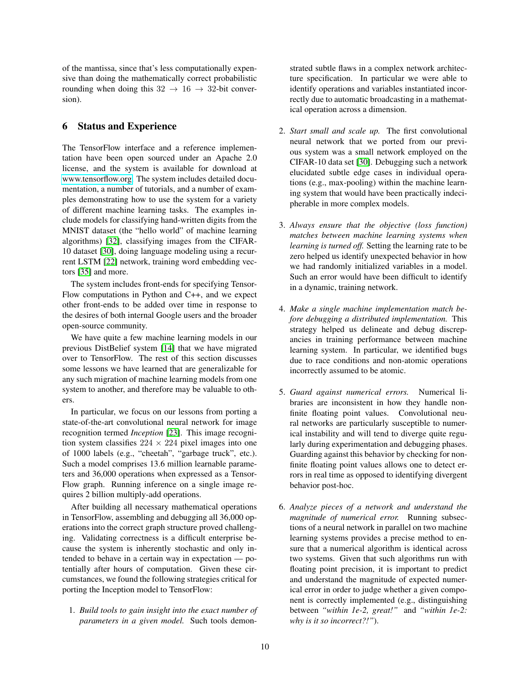of the mantissa, since that's less computationally expensive than doing the mathematically correct probabilistic rounding when doing this  $32 \rightarrow 16 \rightarrow 32$ -bit conversion).

### <span id="page-9-0"></span>6 Status and Experience

The TensorFlow interface and a reference implementation have been open sourced under an Apache 2.0 license, and the system is available for download at [www.tensorflow.org.](www.tensorflow.org) The system includes detailed documentation, a number of tutorials, and a number of examples demonstrating how to use the system for a variety of different machine learning tasks. The examples include models for classifying hand-written digits from the MNIST dataset (the "hello world" of machine learning algorithms) [\[32\]](#page-17-15), classifying images from the CIFAR-10 dataset [\[30\]](#page-17-16), doing language modeling using a recurrent LSTM [\[22\]](#page-17-17) network, training word embedding vectors [\[35\]](#page-17-1) and more.

The system includes front-ends for specifying Tensor-Flow computations in Python and C++, and we expect other front-ends to be added over time in response to the desires of both internal Google users and the broader open-source community.

We have quite a few machine learning models in our previous DistBelief system [\[14\]](#page-16-1) that we have migrated over to TensorFlow. The rest of this section discusses some lessons we have learned that are generalizable for any such migration of machine learning models from one system to another, and therefore may be valuable to others.

In particular, we focus on our lessons from porting a state-of-the-art convolutional neural network for image recognition termed *Inception* [\[23\]](#page-17-18). This image recognition system classifies  $224 \times 224$  pixel images into one of 1000 labels (e.g., "cheetah", "garbage truck", etc.). Such a model comprises 13.6 million learnable parameters and 36,000 operations when expressed as a Tensor-Flow graph. Running inference on a single image requires 2 billion multiply-add operations.

After building all necessary mathematical operations in TensorFlow, assembling and debugging all 36,000 operations into the correct graph structure proved challenging. Validating correctness is a difficult enterprise because the system is inherently stochastic and only intended to behave in a certain way in expectation — potentially after hours of computation. Given these circumstances, we found the following strategies critical for porting the Inception model to TensorFlow:

1. *Build tools to gain insight into the exact number of parameters in a given model.* Such tools demonstrated subtle flaws in a complex network architecture specification. In particular we were able to identify operations and variables instantiated incorrectly due to automatic broadcasting in a mathematical operation across a dimension.

- 2. *Start small and scale up.* The first convolutional neural network that we ported from our previous system was a small network employed on the CIFAR-10 data set [\[30\]](#page-17-16). Debugging such a network elucidated subtle edge cases in individual operations (e.g., max-pooling) within the machine learning system that would have been practically indecipherable in more complex models.
- 3. *Always ensure that the objective (loss function) matches between machine learning systems when learning is turned off.* Setting the learning rate to be zero helped us identify unexpected behavior in how we had randomly initialized variables in a model. Such an error would have been difficult to identify in a dynamic, training network.
- 4. *Make a single machine implementation match before debugging a distributed implementation.* This strategy helped us delineate and debug discrepancies in training performance between machine learning system. In particular, we identified bugs due to race conditions and non-atomic operations incorrectly assumed to be atomic.
- 5. *Guard against numerical errors.* Numerical libraries are inconsistent in how they handle nonfinite floating point values. Convolutional neural networks are particularly susceptible to numerical instability and will tend to diverge quite regularly during experimentation and debugging phases. Guarding against this behavior by checking for nonfinite floating point values allows one to detect errors in real time as opposed to identifying divergent behavior post-hoc.
- 6. *Analyze pieces of a network and understand the magnitude of numerical error.* Running subsections of a neural network in parallel on two machine learning systems provides a precise method to ensure that a numerical algorithm is identical across two systems. Given that such algorithms run with floating point precision, it is important to predict and understand the magnitude of expected numerical error in order to judge whether a given component is correctly implemented (e.g., distinguishing between *"within 1e-2, great!"* and *"within 1e-2: why is it so incorrect?!"*).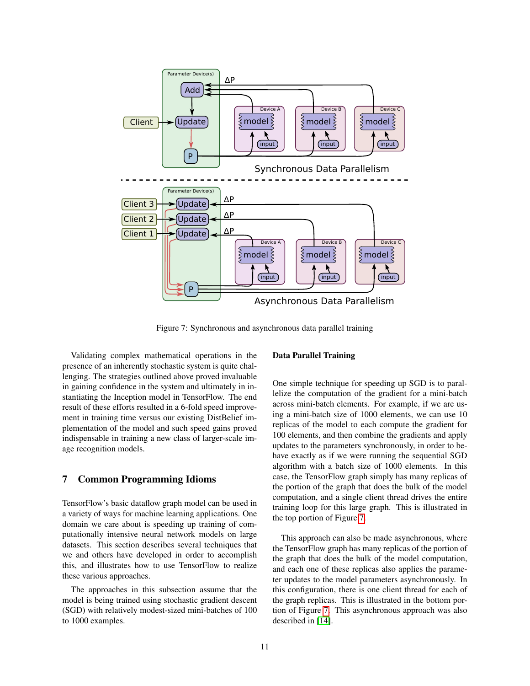

<span id="page-10-1"></span>Figure 7: Synchronous and asynchronous data parallel training

Validating complex mathematical operations in the presence of an inherently stochastic system is quite challenging. The strategies outlined above proved invaluable in gaining confidence in the system and ultimately in instantiating the Inception model in TensorFlow. The end result of these efforts resulted in a 6-fold speed improvement in training time versus our existing DistBelief implementation of the model and such speed gains proved indispensable in training a new class of larger-scale image recognition models.

## <span id="page-10-0"></span>7 Common Programming Idioms

TensorFlow's basic dataflow graph model can be used in a variety of ways for machine learning applications. One domain we care about is speeding up training of computationally intensive neural network models on large datasets. This section describes several techniques that we and others have developed in order to accomplish this, and illustrates how to use TensorFlow to realize these various approaches.

The approaches in this subsection assume that the model is being trained using stochastic gradient descent (SGD) with relatively modest-sized mini-batches of 100 to 1000 examples.

#### Data Parallel Training

One simple technique for speeding up SGD is to parallelize the computation of the gradient for a mini-batch across mini-batch elements. For example, if we are using a mini-batch size of 1000 elements, we can use 10 replicas of the model to each compute the gradient for 100 elements, and then combine the gradients and apply updates to the parameters synchronously, in order to behave exactly as if we were running the sequential SGD algorithm with a batch size of 1000 elements. In this case, the TensorFlow graph simply has many replicas of the portion of the graph that does the bulk of the model computation, and a single client thread drives the entire training loop for this large graph. This is illustrated in the top portion of Figure [7.](#page-10-1)

This approach can also be made asynchronous, where the TensorFlow graph has many replicas of the portion of the graph that does the bulk of the model computation, and each one of these replicas also applies the parameter updates to the model parameters asynchronously. In this configuration, there is one client thread for each of the graph replicas. This is illustrated in the bottom portion of Figure [7.](#page-10-1) This asynchronous approach was also described in [\[14\]](#page-16-1).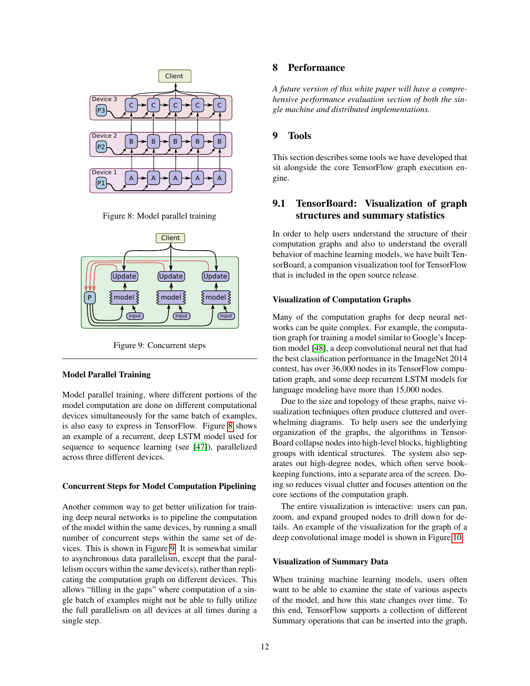

<span id="page-11-1"></span>Figure 8: Model parallel training



<span id="page-11-2"></span>Figure 9: Concurrent steps

#### Model Parallel Training

Model parallel training, where different portions of the model computation are done on different computational devices simultaneously for the same batch of examples, is also easy to express in TensorFlow. Figure [8](#page-11-1) shows an example of a recurrent, deep LSTM model used for sequence to sequence learning (see [\[47\]](#page-18-3)), parallelized across three different devices.

#### Concurrent Steps for Model Computation Pipelining

Another common way to get better utilization for training deep neural networks is to pipeline the computation of the model within the same devices, by running a small number of concurrent steps within the same set of devices. This is shown in Figure [9.](#page-11-2) It is somewhat similar to asynchronous data parallelism, except that the parallelism occurs within the same device(s), rather than replicating the computation graph on different devices. This allows "filling in the gaps" where computation of a single batch of examples might not be able to fully utilize the full parallelism on all devices at all times during a single step.

## 8 Performance

*A future version of this white paper will have a comprehensive performance evaluation section of both the single machine and distributed implementations.*

### <span id="page-11-0"></span>9 Tools

This section describes some tools we have developed that sit alongside the core TensorFlow graph execution engine.

## 9.1 TensorBoard: Visualization of graph structures and summary statistics

In order to help users understand the structure of their computation graphs and also to understand the overall behavior of machine learning models, we have built TensorBoard, a companion visualization tool for TensorFlow that is included in the open source release.

#### Visualization of Computation Graphs

Many of the computation graphs for deep neural networks can be quite complex. For example, the computation graph for training a model similar to Google's Inception model [\[48\]](#page-18-1), a deep convolutional neural net that had the best classification performance in the ImageNet 2014 contest, has over 36,000 nodes in its TensorFlow computation graph, and some deep recurrent LSTM models for language modeling have more than 15,000 nodes.

Due to the size and topology of these graphs, naive visualization techniques often produce cluttered and overwhelming diagrams. To help users see the underlying organization of the graphs, the algorithms in Tensor-Board collapse nodes into high-level blocks, highlighting groups with identical structures. The system also separates out high-degree nodes, which often serve bookkeeping functions, into a separate area of the screen. Doing so reduces visual clutter and focuses attention on the core sections of the computation graph.

The entire visualization is interactive: users can pan, zoom, and expand grouped nodes to drill down for details. An example of the visualization for the graph of a deep convolutional image model is shown in Figure [10.](#page-12-0)

#### Visualization of Summary Data

When training machine learning models, users often want to be able to examine the state of various aspects of the model, and how this state changes over time. To this end, TensorFlow supports a collection of different Summary operations that can be inserted into the graph,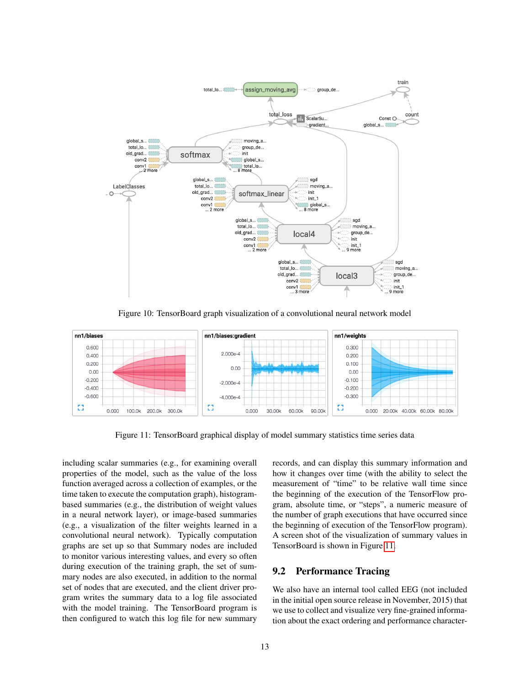

<span id="page-12-0"></span>Figure 10: TensorBoard graph visualization of a convolutional neural network model



<span id="page-12-1"></span>Figure 11: TensorBoard graphical display of model summary statistics time series data

including scalar summaries (e.g., for examining overall properties of the model, such as the value of the loss function averaged across a collection of examples, or the time taken to execute the computation graph), histogrambased summaries (e.g., the distribution of weight values in a neural network layer), or image-based summaries (e.g., a visualization of the filter weights learned in a convolutional neural network). Typically computation graphs are set up so that Summary nodes are included to monitor various interesting values, and every so often during execution of the training graph, the set of summary nodes are also executed, in addition to the normal set of nodes that are executed, and the client driver program writes the summary data to a log file associated with the model training. The TensorBoard program is then configured to watch this log file for new summary records, and can display this summary information and how it changes over time (with the ability to select the measurement of "time" to be relative wall time since the beginning of the execution of the TensorFlow program, absolute time, or "steps", a numeric measure of the number of graph executions that have occurred since the beginning of execution of the TensorFlow program). A screen shot of the visualization of summary values in TensorBoard is shown in Figure [11.](#page-12-1)

### 9.2 Performance Tracing

We also have an internal tool called EEG (not included in the initial open source release in November, 2015) that we use to collect and visualize very fine-grained information about the exact ordering and performance character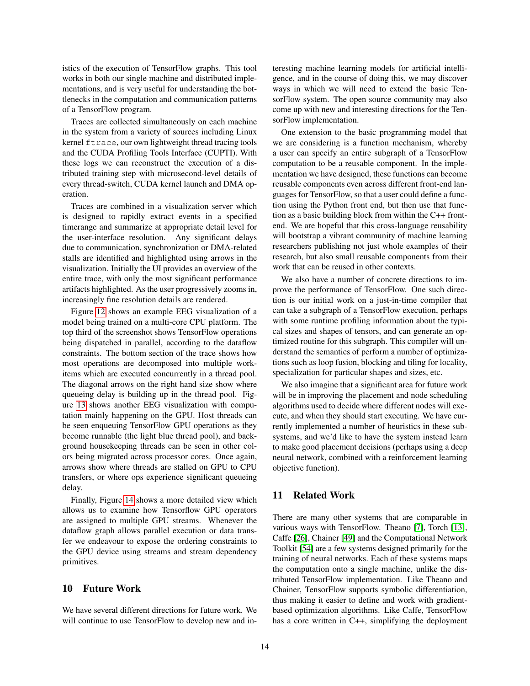istics of the execution of TensorFlow graphs. This tool works in both our single machine and distributed implementations, and is very useful for understanding the bottlenecks in the computation and communication patterns of a TensorFlow program.

Traces are collected simultaneously on each machine in the system from a variety of sources including Linux kernel ftrace, our own lightweight thread tracing tools and the CUDA Profiling Tools Interface (CUPTI). With these logs we can reconstruct the execution of a distributed training step with microsecond-level details of every thread-switch, CUDA kernel launch and DMA operation.

Traces are combined in a visualization server which is designed to rapidly extract events in a specified timerange and summarize at appropriate detail level for the user-interface resolution. Any significant delays due to communication, synchronization or DMA-related stalls are identified and highlighted using arrows in the visualization. Initially the UI provides an overview of the entire trace, with only the most significant performance artifacts highlighted. As the user progressively zooms in, increasingly fine resolution details are rendered.

Figure [12](#page-14-0) shows an example EEG visualization of a model being trained on a multi-core CPU platform. The top third of the screenshot shows TensorFlow operations being dispatched in parallel, according to the dataflow constraints. The bottom section of the trace shows how most operations are decomposed into multiple workitems which are executed concurrently in a thread pool. The diagonal arrows on the right hand size show where queueing delay is building up in the thread pool. Figure [13](#page-14-1) shows another EEG visualization with computation mainly happening on the GPU. Host threads can be seen enqueuing TensorFlow GPU operations as they become runnable (the light blue thread pool), and background housekeeping threads can be seen in other colors being migrated across processor cores. Once again, arrows show where threads are stalled on GPU to CPU transfers, or where ops experience significant queueing delay.

Finally, Figure [14](#page-15-1) shows a more detailed view which allows us to examine how Tensorflow GPU operators are assigned to multiple GPU streams. Whenever the dataflow graph allows parallel execution or data transfer we endeavour to expose the ordering constraints to the GPU device using streams and stream dependency primitives.

### <span id="page-13-0"></span>10 Future Work

We have several different directions for future work. We will continue to use TensorFlow to develop new and interesting machine learning models for artificial intelligence, and in the course of doing this, we may discover ways in which we will need to extend the basic TensorFlow system. The open source community may also come up with new and interesting directions for the TensorFlow implementation.

One extension to the basic programming model that we are considering is a function mechanism, whereby a user can specify an entire subgraph of a TensorFlow computation to be a reusable component. In the implementation we have designed, these functions can become reusable components even across different front-end languages for TensorFlow, so that a user could define a function using the Python front end, but then use that function as a basic building block from within the C++ frontend. We are hopeful that this cross-language reusability will bootstrap a vibrant community of machine learning researchers publishing not just whole examples of their research, but also small reusable components from their work that can be reused in other contexts.

We also have a number of concrete directions to improve the performance of TensorFlow. One such direction is our initial work on a just-in-time compiler that can take a subgraph of a TensorFlow execution, perhaps with some runtime profiling information about the typical sizes and shapes of tensors, and can generate an optimized routine for this subgraph. This compiler will understand the semantics of perform a number of optimizations such as loop fusion, blocking and tiling for locality, specialization for particular shapes and sizes, etc.

We also imagine that a significant area for future work will be in improving the placement and node scheduling algorithms used to decide where different nodes will execute, and when they should start executing. We have currently implemented a number of heuristics in these subsystems, and we'd like to have the system instead learn to make good placement decisions (perhaps using a deep neural network, combined with a reinforcement learning objective function).

### <span id="page-13-1"></span>11 Related Work

There are many other systems that are comparable in various ways with TensorFlow. Theano [\[7\]](#page-16-10), Torch [\[13\]](#page-16-11), Caffe [\[26\]](#page-17-19), Chainer [\[49\]](#page-18-14) and the Computational Network Toolkit [\[54\]](#page-18-15) are a few systems designed primarily for the training of neural networks. Each of these systems maps the computation onto a single machine, unlike the distributed TensorFlow implementation. Like Theano and Chainer, TensorFlow supports symbolic differentiation, thus making it easier to define and work with gradientbased optimization algorithms. Like Caffe, TensorFlow has a core written in C++, simplifying the deployment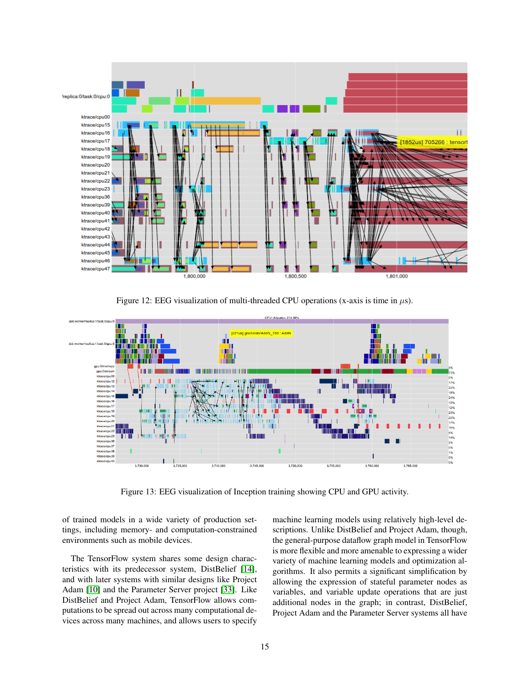

<span id="page-14-0"></span>Figure 12: EEG visualization of multi-threaded CPU operations (x-axis is time in  $\mu$ s).



<span id="page-14-1"></span>Figure 13: EEG visualization of Inception training showing CPU and GPU activity.

of trained models in a wide variety of production settings, including memory- and computation-constrained environments such as mobile devices.

The TensorFlow system shares some design characteristics with its predecessor system, DistBelief [\[14\]](#page-16-1), and with later systems with similar designs like Project Adam [\[10\]](#page-16-12) and the Parameter Server project [\[33\]](#page-17-20). Like DistBelief and Project Adam, TensorFlow allows computations to be spread out across many computational devices across many machines, and allows users to specify machine learning models using relatively high-level descriptions. Unlike DistBelief and Project Adam, though, the general-purpose dataflow graph model in TensorFlow is more flexible and more amenable to expressing a wider variety of machine learning models and optimization algorithms. It also permits a significant simplification by allowing the expression of stateful parameter nodes as variables, and variable update operations that are just additional nodes in the graph; in contrast, DistBelief, Project Adam and the Parameter Server systems all have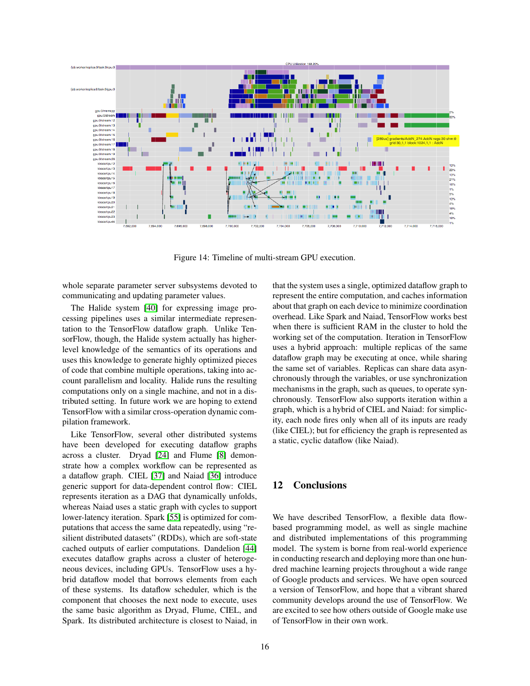

<span id="page-15-1"></span>Figure 14: Timeline of multi-stream GPU execution.

whole separate parameter server subsystems devoted to communicating and updating parameter values.

The Halide system [\[40\]](#page-18-16) for expressing image processing pipelines uses a similar intermediate representation to the TensorFlow dataflow graph. Unlike TensorFlow, though, the Halide system actually has higherlevel knowledge of the semantics of its operations and uses this knowledge to generate highly optimized pieces of code that combine multiple operations, taking into account parallelism and locality. Halide runs the resulting computations only on a single machine, and not in a distributed setting. In future work we are hoping to extend TensorFlow with a similar cross-operation dynamic compilation framework.

Like TensorFlow, several other distributed systems have been developed for executing dataflow graphs across a cluster. Dryad [\[24\]](#page-17-21) and Flume [\[8\]](#page-16-13) demonstrate how a complex workflow can be represented as a dataflow graph. CIEL [\[37\]](#page-17-22) and Naiad [\[36\]](#page-17-11) introduce generic support for data-dependent control flow: CIEL represents iteration as a DAG that dynamically unfolds, whereas Naiad uses a static graph with cycles to support lower-latency iteration. Spark [\[55\]](#page-18-17) is optimized for computations that access the same data repeatedly, using "resilient distributed datasets" (RDDs), which are soft-state cached outputs of earlier computations. Dandelion [\[44\]](#page-18-18) executes dataflow graphs across a cluster of heterogeneous devices, including GPUs. TensorFlow uses a hybrid dataflow model that borrows elements from each of these systems. Its dataflow scheduler, which is the component that chooses the next node to execute, uses the same basic algorithm as Dryad, Flume, CIEL, and Spark. Its distributed architecture is closest to Naiad, in that the system uses a single, optimized dataflow graph to represent the entire computation, and caches information about that graph on each device to minimize coordination overhead. Like Spark and Naiad, TensorFlow works best when there is sufficient RAM in the cluster to hold the working set of the computation. Iteration in TensorFlow uses a hybrid approach: multiple replicas of the same dataflow graph may be executing at once, while sharing the same set of variables. Replicas can share data asynchronously through the variables, or use synchronization mechanisms in the graph, such as queues, to operate synchronously. TensorFlow also supports iteration within a graph, which is a hybrid of CIEL and Naiad: for simplicity, each node fires only when all of its inputs are ready (like CIEL); but for efficiency the graph is represented as a static, cyclic dataflow (like Naiad).

## <span id="page-15-0"></span>12 Conclusions

We have described TensorFlow, a flexible data flowbased programming model, as well as single machine and distributed implementations of this programming model. The system is borne from real-world experience in conducting research and deploying more than one hundred machine learning projects throughout a wide range of Google products and services. We have open sourced a version of TensorFlow, and hope that a vibrant shared community develops around the use of TensorFlow. We are excited to see how others outside of Google make use of TensorFlow in their own work.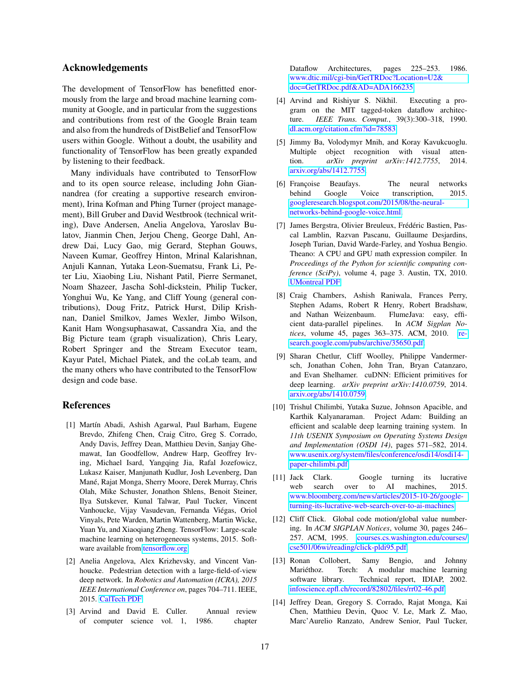#### Acknowledgements

The development of TensorFlow has benefitted enormously from the large and broad machine learning community at Google, and in particular from the suggestions and contributions from rest of the Google Brain team and also from the hundreds of DistBelief and TensorFlow users within Google. Without a doubt, the usability and functionality of TensorFlow has been greatly expanded by listening to their feedback.

Many individuals have contributed to TensorFlow and to its open source release, including John Giannandrea (for creating a supportive research environment), Irina Kofman and Phing Turner (project management), Bill Gruber and David Westbrook (technical writing), Dave Andersen, Anelia Angelova, Yaroslav Bulatov, Jianmin Chen, Jerjou Cheng, George Dahl, Andrew Dai, Lucy Gao, mig Gerard, Stephan Gouws, Naveen Kumar, Geoffrey Hinton, Mrinal Kalarishnan, Anjuli Kannan, Yutaka Leon-Suematsu, Frank Li, Peter Liu, Xiaobing Liu, Nishant Patil, Pierre Sermanet, Noam Shazeer, Jascha Sohl-dickstein, Philip Tucker, Yonghui Wu, Ke Yang, and Cliff Young (general contributions), Doug Fritz, Patrick Hurst, Dilip Krishnan, Daniel Smilkov, James Wexler, Jimbo Wilson, Kanit Ham Wongsuphasawat, Cassandra Xia, and the Big Picture team (graph visualization), Chris Leary, Robert Springer and the Stream Executor team, Kayur Patel, Michael Piatek, and the coLab team, and the many others who have contributed to the TensorFlow design and code base.

#### References

- <span id="page-16-0"></span>[1] Martín Abadi, Ashish Agarwal, Paul Barham, Eugene Brevdo, Zhifeng Chen, Craig Citro, Greg S. Corrado, Andy Davis, Jeffrey Dean, Matthieu Devin, Sanjay Ghemawat, Ian Goodfellow, Andrew Harp, Geoffrey Irving, Michael Isard, Yangqing Jia, Rafal Jozefowicz, Lukasz Kaiser, Manjunath Kudlur, Josh Levenberg, Dan Mané, Rajat Monga, Sherry Moore, Derek Murray, Chris Olah, Mike Schuster, Jonathon Shlens, Benoit Steiner, Ilya Sutskever, Kunal Talwar, Paul Tucker, Vincent Vanhoucke, Vijay Vasudevan, Fernanda Viegas, Oriol ´ Vinyals, Pete Warden, Martin Wattenberg, Martin Wicke, Yuan Yu, and Xiaoqiang Zheng. TensorFlow: Large-scale machine learning on heterogeneous systems, 2015. Software available from [tensorflow.org.](http://tensorflow.org)
- <span id="page-16-2"></span>[2] Anelia Angelova, Alex Krizhevsky, and Vincent Vanhoucke. Pedestrian detection with a large-field-of-view deep network. In *Robotics and Automation (ICRA), 2015 IEEE International Conference on*, pages 704–711. IEEE, 2015. [CalTech PDF.](http://www.vision.caltech.edu/anelia/publications/Angelova15LFOV.pdf)
- <span id="page-16-6"></span>[3] Arvind and David E. Culler. Annual review of computer science vol. 1, 1986. chapter

Dataflow Architectures, pages 225–253. 1986. [www.dtic.mil/cgi-bin/GetTRDoc?Location=U2&](http://www.dtic.mil/cgi-bin/GetTRDoc?Location=U2&doc=GetTRDoc.pdf&AD=ADA166235) [doc=GetTRDoc.pdf&AD=ADA166235.](http://www.dtic.mil/cgi-bin/GetTRDoc?Location=U2&doc=GetTRDoc.pdf&AD=ADA166235)

- <span id="page-16-7"></span>[4] Arvind and Rishiyur S. Nikhil. Executing a program on the MIT tagged-token dataflow architecture. *IEEE Trans. Comput.*, 39(3):300–318, 1990. [dl.acm.org/citation.cfm?id=78583.](http://dl.acm.org/citation.cfm?id=78583)
- <span id="page-16-3"></span>[5] Jimmy Ba, Volodymyr Mnih, and Koray Kavukcuoglu. Multiple object recognition with visual attention. *arXiv preprint arXiv:1412.7755*, 2014. [arxiv.org/abs/1412.7755.](http://arxiv.org/abs/1412.7755)
- <span id="page-16-5"></span>[6] Françoise Beaufays. The neural networks behind Google Voice transcription, 2015. [googleresearch.blogspot.com/2015/08/the-neural](http://googleresearch.blogspot.com/2015/08/the-neural-networks-behind-google-voice.html)[networks-behind-google-voice.html.](http://googleresearch.blogspot.com/2015/08/the-neural-networks-behind-google-voice.html)
- <span id="page-16-10"></span>[7] James Bergstra, Olivier Breuleux, Frédéric Bastien, Pascal Lamblin, Razvan Pascanu, Guillaume Desjardins, Joseph Turian, David Warde-Farley, and Yoshua Bengio. Theano: A CPU and GPU math expression compiler. In *Proceedings of the Python for scientific computing conference (SciPy)*, volume 4, page 3. Austin, TX, 2010. [UMontreal PDF.](http://www-etud.iro.umontreal.ca/~wardefar/publications/theano_scipy2010.pdf)
- <span id="page-16-13"></span>[8] Craig Chambers, Ashish Raniwala, Frances Perry, Stephen Adams, Robert R Henry, Robert Bradshaw, and Nathan Weizenbaum. FlumeJava: easy, efficient data-parallel pipelines. In *ACM Sigplan Notices*, volume 45, pages 363–375. ACM, 2010. [re](https://research.google.com/pubs/archive/35650.pdf)[search.google.com/pubs/archive/35650.pdf.](https://research.google.com/pubs/archive/35650.pdf)
- <span id="page-16-9"></span>[9] Sharan Chetlur, Cliff Woolley, Philippe Vandermersch, Jonathan Cohen, John Tran, Bryan Catanzaro, and Evan Shelhamer. cuDNN: Efficient primitives for deep learning. *arXiv preprint arXiv:1410.0759*, 2014. [arxiv.org/abs/1410.0759.](https://arxiv.org/abs/1410.0759)
- <span id="page-16-12"></span>[10] Trishul Chilimbi, Yutaka Suzue, Johnson Apacible, and Karthik Kalyanaraman. Project Adam: Building an efficient and scalable deep learning training system. In *11th USENIX Symposium on Operating Systems Design and Implementation (OSDI 14)*, pages 571–582, 2014. [www.usenix.org/system/files/conference/osdi14/osdi14](https://www.usenix.org/system/files/conference/osdi14/osdi14-paper-chilimbi.pdf) [paper-chilimbi.pdf.](https://www.usenix.org/system/files/conference/osdi14/osdi14-paper-chilimbi.pdf)
- <span id="page-16-4"></span>[11] Jack Clark. Google turning its lucrative web search over to AI machines, 2015. [www.bloomberg.com/news/articles/2015-10-26/google](http://www.bloomberg.com/news/articles/2015-10-26/google-turning-its-lucrative-web-search-over-to-ai-machines)[turning-its-lucrative-web-search-over-to-ai-machines.](http://www.bloomberg.com/news/articles/2015-10-26/google-turning-its-lucrative-web-search-over-to-ai-machines)
- <span id="page-16-8"></span>[12] Cliff Click. Global code motion/global value numbering. In *ACM SIGPLAN Notices*, volume 30, pages 246– 257. ACM, 1995. [courses.cs.washington.edu/courses/](https://courses.cs.washington.edu/courses/cse501/06wi/reading/click-pldi95.pdf) [cse501/06wi/reading/click-pldi95.pdf.](https://courses.cs.washington.edu/courses/cse501/06wi/reading/click-pldi95.pdf)
- <span id="page-16-11"></span>[13] Ronan Collobert, Samy Bengio, and Johnny Mariéthoz. Torch: A modular machine learning software library. Technical report, IDIAP, 2002. [infoscience.epfl.ch/record/82802/files/rr02-46.pdf.](http://infoscience.epfl.ch/record/82802/files/rr02-46.pdf)
- <span id="page-16-1"></span>[14] Jeffrey Dean, Gregory S. Corrado, Rajat Monga, Kai Chen, Matthieu Devin, Quoc V. Le, Mark Z. Mao, Marc'Aurelio Ranzato, Andrew Senior, Paul Tucker,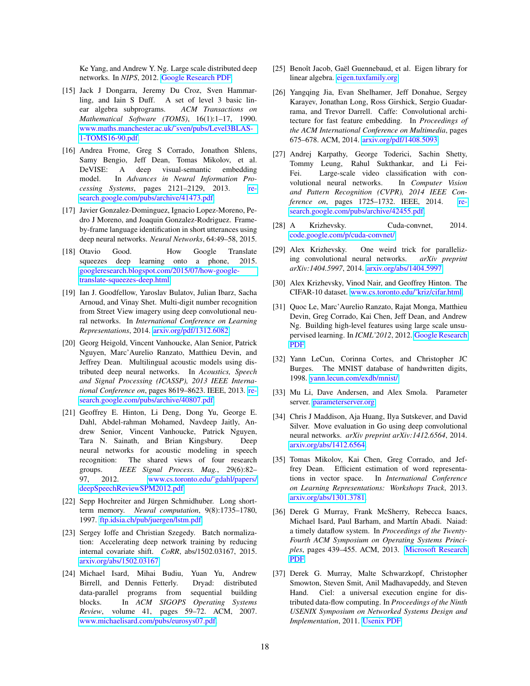Ke Yang, and Andrew Y. Ng. Large scale distributed deep networks. In *NIPS*, 2012. [Google Research PDF.](http://research.google.com/archive/large_deep_networks_nips2012.pdf)

- <span id="page-17-12"></span>[15] Jack J Dongarra, Jeremy Du Croz, Sven Hammarling, and Iain S Duff. A set of level 3 basic linear algebra subprograms. *ACM Transactions on Mathematical Software (TOMS)*, 16(1):1–17, 1990. [www.maths.manchester.ac.uk/˜sven/pubs/Level3BLAS-](https://www.maths.manchester.ac.uk/~sven/pubs/Level3BLAS-1-TOMS16-90.pdf)[1-TOMS16-90.pdf.](https://www.maths.manchester.ac.uk/~sven/pubs/Level3BLAS-1-TOMS16-90.pdf)
- <span id="page-17-2"></span>[16] Andrea Frome, Greg S Corrado, Jonathon Shlens, Samy Bengio, Jeff Dean, Tomas Mikolov, et al. DeVISE: A deep visual-semantic embedding model. In *Advances in Neural Information Processing Systems*, pages 2121–2129, 2013. [re](http://research.google.com/pubs/archive/41473.pdf)[search.google.com/pubs/archive/41473.pdf.](http://research.google.com/pubs/archive/41473.pdf)
- <span id="page-17-7"></span>[17] Javier Gonzalez-Dominguez, Ignacio Lopez-Moreno, Pedro J Moreno, and Joaquin Gonzalez-Rodriguez. Frameby-frame language identification in short utterances using deep neural networks. *Neural Networks*, 64:49–58, 2015.
- <span id="page-17-9"></span>[18] Otavio Good. How Google Translate squeezes deep learning onto a phone, 2015. [googleresearch.blogspot.com/2015/07/how-google](http://googleresearch.blogspot.com/2015/07/how-google-translate-squeezes-deep.html)[translate-squeezes-deep.html.](http://googleresearch.blogspot.com/2015/07/how-google-translate-squeezes-deep.html)
- <span id="page-17-8"></span>[19] Ian J. Goodfellow, Yaroslav Bulatov, Julian Ibarz, Sacha Arnoud, and Vinay Shet. Multi-digit number recognition from Street View imagery using deep convolutional neural networks. In *International Conference on Learning Representations*, 2014. [arxiv.org/pdf/1312.6082.](http://arxiv.org/pdf/1312.6082)
- <span id="page-17-5"></span>[20] Georg Heigold, Vincent Vanhoucke, Alan Senior, Patrick Nguyen, Marc'Aurelio Ranzato, Matthieu Devin, and Jeffrey Dean. Multilingual acoustic models using distributed deep neural networks. In *Acoustics, Speech and Signal Processing (ICASSP), 2013 IEEE International Conference on*, pages 8619–8623. IEEE, 2013. [re](https://research.google.com/pubs/archive/40807.pdf)[search.google.com/pubs/archive/40807.pdf.](https://research.google.com/pubs/archive/40807.pdf)
- <span id="page-17-4"></span>[21] Geoffrey E. Hinton, Li Deng, Dong Yu, George E. Dahl, Abdel-rahman Mohamed, Navdeep Jaitly, Andrew Senior, Vincent Vanhoucke, Patrick Nguyen, Tara N. Sainath, and Brian Kingsbury. Deep neural networks for acoustic modeling in speech recognition: The shared views of four research groups. *IEEE Signal Process. Mag.*, 29(6):82– 97, 2012. www.cs.toronto.edu/~gdahl/papers/ [deepSpeechReviewSPM2012.pdf.](http://www.cs.toronto.edu/~gdahl/papers/deepSpeechReviewSPM2012.pdf)
- <span id="page-17-17"></span>[22] Sepp Hochreiter and Jürgen Schmidhuber. Long shortterm memory. *Neural computation*, 9(8):1735–1780, 1997. [ftp.idsia.ch/pub/juergen/lstm.pdf.](http://ftp.idsia.ch/pub/juergen/lstm.pdf)
- <span id="page-17-18"></span>[23] Sergey Ioffe and Christian Szegedy. Batch normalization: Accelerating deep network training by reducing internal covariate shift. *CoRR*, abs/1502.03167, 2015. [arxiv.org/abs/1502.03167.](http://arxiv.org/abs/1502.03167)
- <span id="page-17-21"></span>[24] Michael Isard, Mihai Budiu, Yuan Yu, Andrew Birrell, and Dennis Fetterly. Dryad: distributed data-parallel programs from sequential building blocks. In *ACM SIGOPS Operating Systems Review*, volume 41, pages 59–72. ACM, 2007. [www.michaelisard.com/pubs/eurosys07.pdf.](http://www.michaelisard.com/pubs/eurosys07.pdf)
- <span id="page-17-14"></span>[25] Benoît Jacob, Gaël Guennebaud, et al. Eigen library for linear algebra. [eigen.tuxfamily.org.](http://eigen.tuxfamily.org)
- <span id="page-17-19"></span>[26] Yangqing Jia, Evan Shelhamer, Jeff Donahue, Sergey Karayev, Jonathan Long, Ross Girshick, Sergio Guadarrama, and Trevor Darrell. Caffe: Convolutional architecture for fast feature embedding. In *Proceedings of the ACM International Conference on Multimedia*, pages 675–678. ACM, 2014. [arxiv.org/pdf/1408.5093.](http://arxiv.org/pdf/1408.5093)
- <span id="page-17-3"></span>[27] Andrej Karpathy, George Toderici, Sachin Shetty, Tommy Leung, Rahul Sukthankar, and Li Fei-Fei. Large-scale video classification with convolutional neural networks. In *Computer Vision and Pattern Recognition (CVPR), 2014 IEEE Conference on*, pages 1725–1732. IEEE, 2014. [re](https://research.google.com/pubs/archive/42455.pdf)[search.google.com/pubs/archive/42455.pdf.](https://research.google.com/pubs/archive/42455.pdf)
- <span id="page-17-13"></span>[28] A Krizhevsky. Cuda-convnet, 2014. [code.google.com/p/cuda-convnet/.](https://code.google.com/p/cuda-convnet/)
- <span id="page-17-10"></span>[29] Alex Krizhevsky. One weird trick for parallelizing convolutional neural networks. *arXiv preprint arXiv:1404.5997*, 2014. [arxiv.org/abs/1404.5997.](http://arxiv.org/abs/1404.5997)
- <span id="page-17-16"></span>[30] Alex Krizhevsky, Vinod Nair, and Geoffrey Hinton. The CIFAR-10 dataset. [www.cs.toronto.edu/˜kriz/cifar.html.](http://www.cs.toronto.edu/~kriz/cifar.html)
- <span id="page-17-0"></span>[31] Quoc Le, Marc'Aurelio Ranzato, Rajat Monga, Matthieu Devin, Greg Corrado, Kai Chen, Jeff Dean, and Andrew Ng. Building high-level features using large scale unsupervised learning. In *ICML'2012*, 2012. [Google Research](http://research.google.com/archive/unsupervised_icml2012.pdf) [PDF.](http://research.google.com/archive/unsupervised_icml2012.pdf)
- <span id="page-17-15"></span>[32] Yann LeCun, Corinna Cortes, and Christopher JC Burges. The MNIST database of handwritten digits, 1998. [yann.lecun.com/exdb/mnist/.](http://yann.lecun.com/exdb/mnist/)
- <span id="page-17-20"></span>[33] Mu Li, Dave Andersen, and Alex Smola. Parameter server. [parameterserver.org.](http://parameterserver.org)
- <span id="page-17-6"></span>[34] Chris J Maddison, Aja Huang, Ilya Sutskever, and David Silver. Move evaluation in Go using deep convolutional neural networks. *arXiv preprint arXiv:1412.6564*, 2014. [arxiv.org/abs/1412.6564.](http://arxiv.org/abs/1412.6564)
- <span id="page-17-1"></span>[35] Tomas Mikolov, Kai Chen, Greg Corrado, and Jeffrey Dean. Efficient estimation of word representations in vector space. In *International Conference on Learning Representations: Workshops Track*, 2013. [arxiv.org/abs/1301.3781.](http://arxiv.org/abs/1301.3781)
- <span id="page-17-11"></span>[36] Derek G Murray, Frank McSherry, Rebecca Isaacs, Michael Isard, Paul Barham, and Martín Abadi. Naiad: a timely dataflow system. In *Proceedings of the Twenty-Fourth ACM Symposium on Operating Systems Principles*, pages 439–455. ACM, 2013. [Microsoft Research](http://research.microsoft.com:8082/pubs/201100/naiad_sosp2013.pdf) [PDF.](http://research.microsoft.com:8082/pubs/201100/naiad_sosp2013.pdf)
- <span id="page-17-22"></span>[37] Derek G. Murray, Malte Schwarzkopf, Christopher Smowton, Steven Smit, Anil Madhavapeddy, and Steven Hand. Ciel: a universal execution engine for distributed data-flow computing. In *Proceedings of the Ninth USENIX Symposium on Networked Systems Design and Implementation*, 2011. [Usenix PDF.](https://www.usenix.org/legacy/event/nsdi11/tech/full_papers/Murray.pdf)